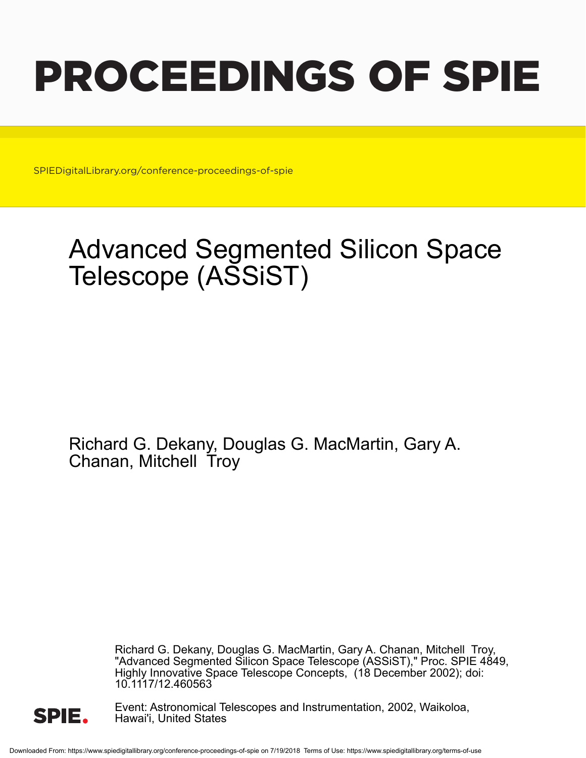# PROCEEDINGS OF SPIE

SPIEDigitalLibrary.org/conference-proceedings-of-spie

## Advanced Segmented Silicon Space Telescope (ASSiST)

Richard G. Dekany, Douglas G. MacMartin, Gary A. Chanan, Mitchell Troy

> Richard G. Dekany, Douglas G. MacMartin, Gary A. Chanan, Mitchell Troy, "Advanced Segmented Silicon Space Telescope (ASSiST)," Proc. SPIE 4849, Highly Innovative Space Telescope Concepts, (18 December 2002); doi: 10.1117/12.460563



Event: Astronomical Telescopes and Instrumentation, 2002, Waikoloa, Hawai'i, United States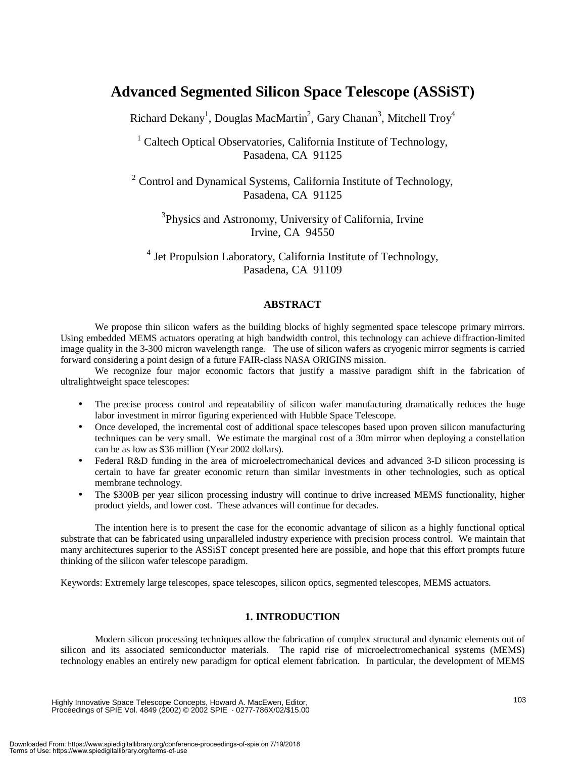### **Advanced Segmented Silicon Space Telescope (ASSiST)**

Richard Dekany<sup>1</sup>, Douglas MacMartin<sup>2</sup>, Gary Chanan<sup>3</sup>, Mitchell Troy<sup>4</sup>

<sup>1</sup> Caltech Optical Observatories, California Institute of Technology, Pasadena, CA 91125

<sup>2</sup> Control and Dynamical Systems, California Institute of Technology, Pasadena, CA 91125

<sup>3</sup>Physics and Astronomy, University of California, Irvine Irvine, CA 94550

<sup>4</sup> Jet Propulsion Laboratory, California Institute of Technology, Pasadena, CA 91109

#### **ABSTRACT**

We propose thin silicon wafers as the building blocks of highly segmented space telescope primary mirrors. Using embedded MEMS actuators operating at high bandwidth control, this technology can achieve diffraction-limited image quality in the 3-300 micron wavelength range. The use of silicon wafers as cryogenic mirror segments is carried forward considering a point design of a future FAIR-class NASA ORIGINS mission.

 We recognize four major economic factors that justify a massive paradigm shift in the fabrication of ultralightweight space telescopes:

- The precise process control and repeatability of silicon wafer manufacturing dramatically reduces the huge labor investment in mirror figuring experienced with Hubble Space Telescope.
- Once developed, the incremental cost of additional space telescopes based upon proven silicon manufacturing techniques can be very small. We estimate the marginal cost of a 30m mirror when deploying a constellation can be as low as \$36 million (Year 2002 dollars).
- Federal R&D funding in the area of microelectromechanical devices and advanced 3-D silicon processing is certain to have far greater economic return than similar investments in other technologies, such as optical membrane technology.
- The \$300B per year silicon processing industry will continue to drive increased MEMS functionality, higher product yields, and lower cost. These advances will continue for decades.

 The intention here is to present the case for the economic advantage of silicon as a highly functional optical substrate that can be fabricated using unparalleled industry experience with precision process control. We maintain that many architectures superior to the ASSiST concept presented here are possible, and hope that this effort prompts future thinking of the silicon wafer telescope paradigm.

Keywords: Extremely large telescopes, space telescopes, silicon optics, segmented telescopes, MEMS actuators.

#### **1. INTRODUCTION**

Modern silicon processing techniques allow the fabrication of complex structural and dynamic elements out of silicon and its associated semiconductor materials. The rapid rise of microelectromechanical systems (MEMS) technology enables an entirely new paradigm for optical element fabrication. In particular, the development of MEMS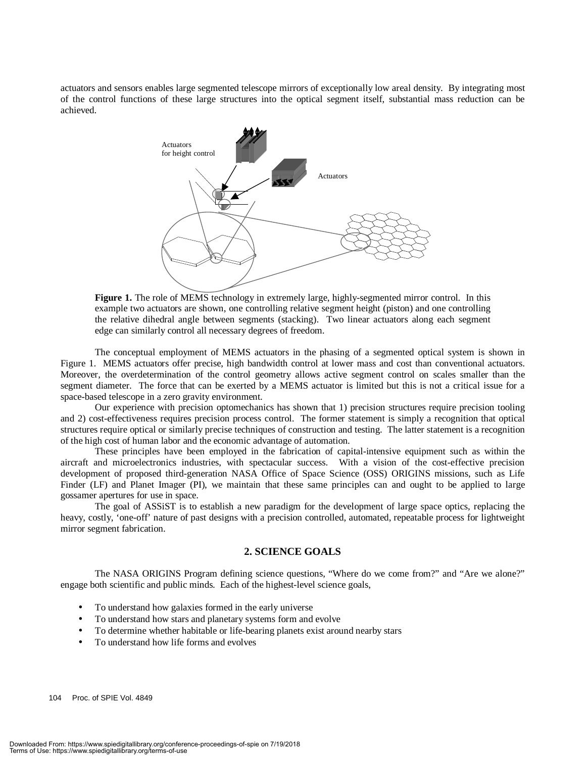actuators and sensors enables large segmented telescope mirrors of exceptionally low areal density. By integrating most of the control functions of these large structures into the optical segment itself, substantial mass reduction can be achieved.



**Figure 1.** The role of MEMS technology in extremely large, highly-segmented mirror control. In this example two actuators are shown, one controlling relative segment height (piston) and one controlling the relative dihedral angle between segments (stacking). Two linear actuators along each segment edge can similarly control all necessary degrees of freedom.

The conceptual employment of MEMS actuators in the phasing of a segmented optical system is shown in Figure 1. MEMS actuators offer precise, high bandwidth control at lower mass and cost than conventional actuators. Moreover, the overdetermination of the control geometry allows active segment control on scales smaller than the segment diameter. The force that can be exerted by a MEMS actuator is limited but this is not a critical issue for a space-based telescope in a zero gravity environment.

 Our experience with precision optomechanics has shown that 1) precision structures require precision tooling and 2) cost-effectiveness requires precision process control. The former statement is simply a recognition that optical structures require optical or similarly precise techniques of construction and testing. The latter statement is a recognition of the high cost of human labor and the economic advantage of automation.

 These principles have been employed in the fabrication of capital-intensive equipment such as within the aircraft and microelectronics industries, with spectacular success. With a vision of the cost-effective precision development of proposed third-generation NASA Office of Space Science (OSS) ORIGINS missions, such as Life Finder (LF) and Planet Imager (PI), we maintain that these same principles can and ought to be applied to large gossamer apertures for use in space.

 The goal of ASSiST is to establish a new paradigm for the development of large space optics, replacing the heavy, costly, 'one-off' nature of past designs with a precision controlled, automated, repeatable process for lightweight mirror segment fabrication.

#### **2. SCIENCE GOALS**

The NASA ORIGINS Program defining science questions, "Where do we come from?" and "Are we alone?" engage both scientific and public minds. Each of the highest-level science goals,

- To understand how galaxies formed in the early universe
- To understand how stars and planetary systems form and evolve
- To determine whether habitable or life-bearing planets exist around nearby stars
- To understand how life forms and evolves

104 Proc. of SPIE Vol. 4849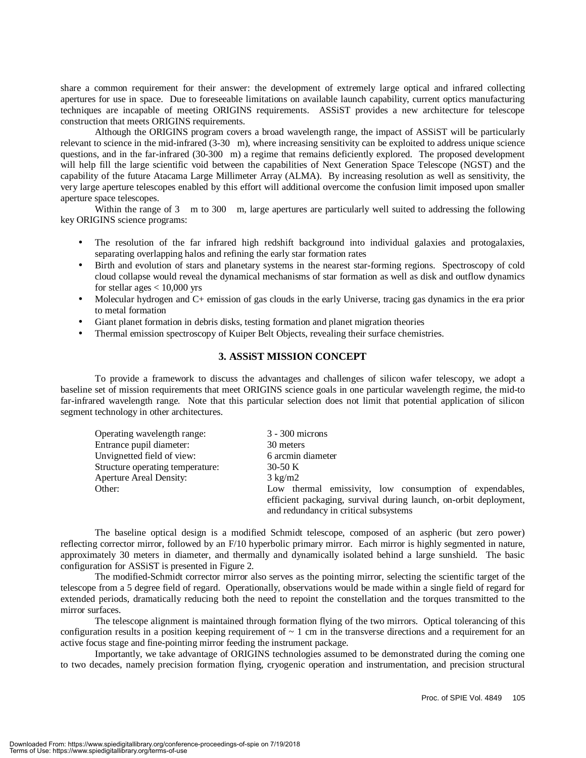share a common requirement for their answer: the development of extremely large optical and infrared collecting apertures for use in space. Due to foreseeable limitations on available launch capability, current optics manufacturing techniques are incapable of meeting ORIGINS requirements. ASSiST provides a new architecture for telescope construction that meets ORIGINS requirements.

 Although the ORIGINS program covers a broad wavelength range, the impact of ASSiST will be particularly relevant to science in the mid-infrared (3-30 m), where increasing sensitivity can be exploited to address unique science questions, and in the far-infrared (30-300 m) a regime that remains deficiently explored. The proposed development will help fill the large scientific void between the capabilities of Next Generation Space Telescope (NGST) and the capability of the future Atacama Large Millimeter Array (ALMA). By increasing resolution as well as sensitivity, the very large aperture telescopes enabled by this effort will additional overcome the confusion limit imposed upon smaller aperture space telescopes.

Within the range of 3 m to 300 m, large apertures are particularly well suited to addressing the following key ORIGINS science programs:

- The resolution of the far infrared high redshift background into individual galaxies and protogalaxies, separating overlapping halos and refining the early star formation rates
- Birth and evolution of stars and planetary systems in the nearest star-forming regions. Spectroscopy of cold cloud collapse would reveal the dynamical mechanisms of star formation as well as disk and outflow dynamics for stellar ages  $< 10,000$  yrs
- Molecular hydrogen and C+ emission of gas clouds in the early Universe, tracing gas dynamics in the era prior to metal formation
- Giant planet formation in debris disks, testing formation and planet migration theories
- Thermal emission spectroscopy of Kuiper Belt Objects, revealing their surface chemistries.

#### **3. ASSiST MISSION CONCEPT**

To provide a framework to discuss the advantages and challenges of silicon wafer telescopy, we adopt a baseline set of mission requirements that meet ORIGINS science goals in one particular wavelength regime, the mid-to far-infrared wavelength range. Note that this particular selection does not limit that potential application of silicon segment technology in other architectures.

| Operating wavelength range:      | $3 - 300$ microns                                                 |
|----------------------------------|-------------------------------------------------------------------|
| Entrance pupil diameter:         | 30 meters                                                         |
| Unvignetted field of view:       | 6 arcmin diameter                                                 |
| Structure operating temperature: | $30-50K$                                                          |
| <b>Aperture Areal Density:</b>   | $3 \text{ kg/m2}$                                                 |
| Other:                           | Low thermal emissivity, low consumption of expendables,           |
|                                  | efficient packaging, survival during launch, on-orbit deployment, |
|                                  | and redundancy in critical subsystems                             |

The baseline optical design is a modified Schmidt telescope, composed of an aspheric (but zero power) reflecting corrector mirror, followed by an F/10 hyperbolic primary mirror. Each mirror is highly segmented in nature, approximately 30 meters in diameter, and thermally and dynamically isolated behind a large sunshield. The basic configuration for ASSiST is presented in Figure 2.

The modified-Schmidt corrector mirror also serves as the pointing mirror, selecting the scientific target of the telescope from a 5 degree field of regard. Operationally, observations would be made within a single field of regard for extended periods, dramatically reducing both the need to repoint the constellation and the torques transmitted to the mirror surfaces.

The telescope alignment is maintained through formation flying of the two mirrors. Optical tolerancing of this configuration results in a position keeping requirement of  $\sim 1$  cm in the transverse directions and a requirement for an active focus stage and fine-pointing mirror feeding the instrument package.

Importantly, we take advantage of ORIGINS technologies assumed to be demonstrated during the coming one to two decades, namely precision formation flying, cryogenic operation and instrumentation, and precision structural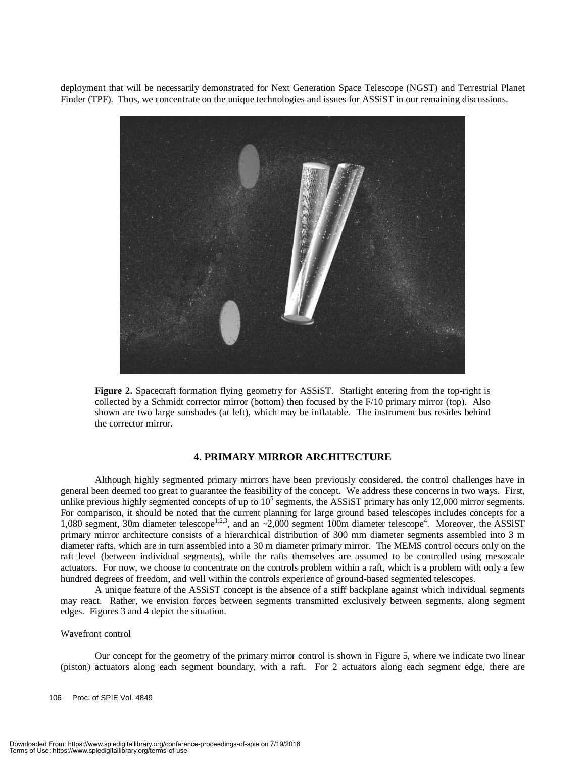deployment that will be necessarily demonstrated for Next Generation Space Telescope (NGST) and Terrestrial Planet Finder (TPF). Thus, we concentrate on the unique technologies and issues for ASSiST in our remaining discussions.



**Figure 2.** Spacecraft formation flying geometry for ASSiST. Starlight entering from the top-right is collected by a Schmidt corrector mirror (bottom) then focused by the F/10 primary mirror (top). Also shown are two large sunshades (at left), which may be inflatable. The instrument bus resides behind the corrector mirror.

#### **4. PRIMARY MIRROR ARCHITECTURE**

Although highly segmented primary mirrors have been previously considered, the control challenges have in general been deemed too great to guarantee the feasibility of the concept. We address these concerns in two ways. First, unlike previous highly segmented concepts of up to  $10^5$  segments, the ASSiST primary has only 12,000 mirror segments. For comparison, it should be noted that the current planning for large ground based telescopes includes concepts for a 1,080 segment, 30m diameter telescope<sup>1,2,3</sup>, and an  $\sim$ 2,000 segment 100m diameter telescope<sup>4</sup>. Moreover, the ASSiST primary mirror architecture consists of a hierarchical distribution of 300 mm diameter segments assembled into 3 m diameter rafts, which are in turn assembled into a 30 m diameter primary mirror. The MEMS control occurs only on the raft level (between individual segments), while the rafts themselves are assumed to be controlled using mesoscale actuators. For now, we choose to concentrate on the controls problem within a raft, which is a problem with only a few hundred degrees of freedom, and well within the controls experience of ground-based segmented telescopes.

 A unique feature of the ASSiST concept is the absence of a stiff backplane against which individual segments may react. Rather, we envision forces between segments transmitted exclusively between segments, along segment edges. Figures 3 and 4 depict the situation.

#### Wavefront control

Our concept for the geometry of the primary mirror control is shown in Figure 5, where we indicate two linear (piston) actuators along each segment boundary, with a raft. For 2 actuators along each segment edge, there are

#### 106 Proc. of SPIE Vol. 4849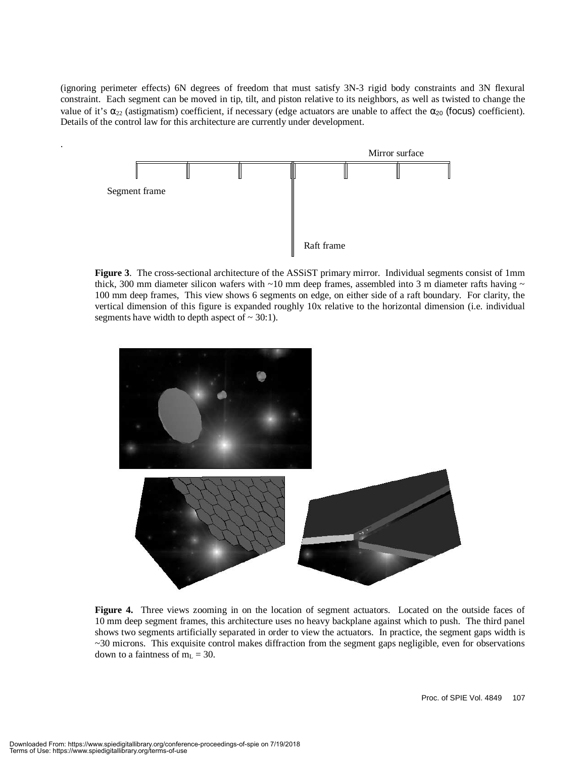(ignoring perimeter effects) 6N degrees of freedom that must satisfy 3N-3 rigid body constraints and 3N flexural constraint. Each segment can be moved in tip, tilt, and piston relative to its neighbors, as well as twisted to change the value of it's  $\alpha_{22}$  (astigmatism) coefficient, if necessary (edge actuators are unable to affect the  $\alpha_{20}$  (focus) coefficient). Details of the control law for this architecture are currently under development.



**Figure 3**. The cross-sectional architecture of the ASSiST primary mirror. Individual segments consist of 1mm thick, 300 mm diameter silicon wafers with  $\sim$ 10 mm deep frames, assembled into 3 m diameter rafts having  $\sim$ 100 mm deep frames, This view shows 6 segments on edge, on either side of a raft boundary. For clarity, the vertical dimension of this figure is expanded roughly 10x relative to the horizontal dimension (i.e. individual segments have width to depth aspect of  $\sim$  30:1).



**Figure 4.** Three views zooming in on the location of segment actuators. Located on the outside faces of 10 mm deep segment frames, this architecture uses no heavy backplane against which to push. The third panel shows two segments artificially separated in order to view the actuators. In practice, the segment gaps width is ~30 microns. This exquisite control makes diffraction from the segment gaps negligible, even for observations down to a faintness of  $m<sub>L</sub> = 30$ .

.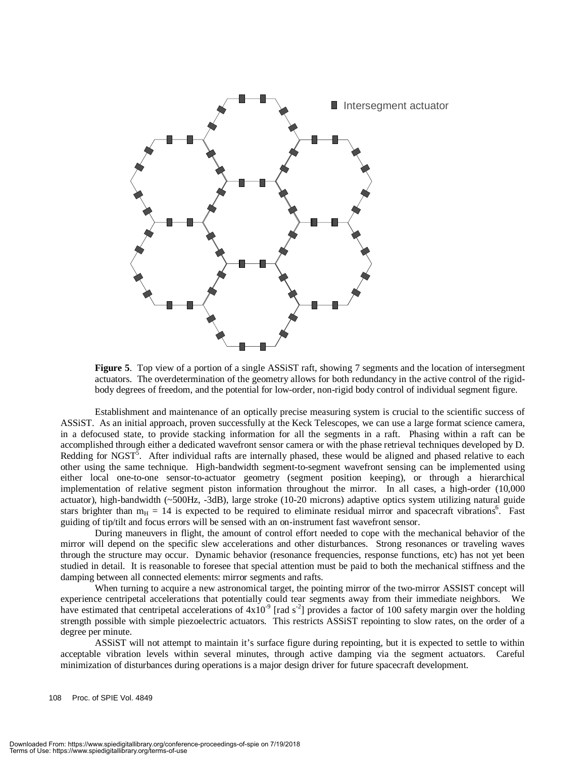

**Figure 5**. Top view of a portion of a single ASSiST raft, showing 7 segments and the location of intersegment actuators. The overdetermination of the geometry allows for both redundancy in the active control of the rigidbody degrees of freedom, and the potential for low-order, non-rigid body control of individual segment figure.

Establishment and maintenance of an optically precise measuring system is crucial to the scientific success of ASSiST. As an initial approach, proven successfully at the Keck Telescopes, we can use a large format science camera, in a defocused state, to provide stacking information for all the segments in a raft. Phasing within a raft can be accomplished through either a dedicated wavefront sensor camera or with the phase retrieval techniques developed by D. Redding for NGST $^5$ . After individual rafts are internally phased, these would be aligned and phased relative to each other using the same technique. High-bandwidth segment-to-segment wavefront sensing can be implemented using either local one-to-one sensor-to-actuator geometry (segment position keeping), or through a hierarchical implementation of relative segment piston information throughout the mirror. In all cases, a high-order (10,000 actuator), high-bandwidth (~500Hz, -3dB), large stroke (10-20 microns) adaptive optics system utilizing natural guide stars brighter than  $m_H = 14$  is expected to be required to eliminate residual mirror and spacecraft vibrations<sup>6</sup>. Fast guiding of tip/tilt and focus errors will be sensed with an on-instrument fast wavefront sensor.

During maneuvers in flight, the amount of control effort needed to cope with the mechanical behavior of the mirror will depend on the specific slew accelerations and other disturbances. Strong resonances or traveling waves through the structure may occur. Dynamic behavior (resonance frequencies, response functions, etc) has not yet been studied in detail. It is reasonable to foresee that special attention must be paid to both the mechanical stiffness and the damping between all connected elements: mirror segments and rafts.

When turning to acquire a new astronomical target, the pointing mirror of the two-mirror ASSIST concept will experience centripetal accelerations that potentially could tear segments away from their immediate neighbors. We have estimated that centripetal accelerations of  $4x10^{-9}$  [rad s<sup>-2</sup>] provides a factor of 100 safety margin over the holding strength possible with simple piezoelectric actuators. This restricts ASSiST repointing to slow rates, on the order of a degree per minute.

ASSiST will not attempt to maintain it's surface figure during repointing, but it is expected to settle to within acceptable vibration levels within several minutes, through active damping via the segment actuators. Careful minimization of disturbances during operations is a major design driver for future spacecraft development.

108 Proc. of SPIE Vol. 4849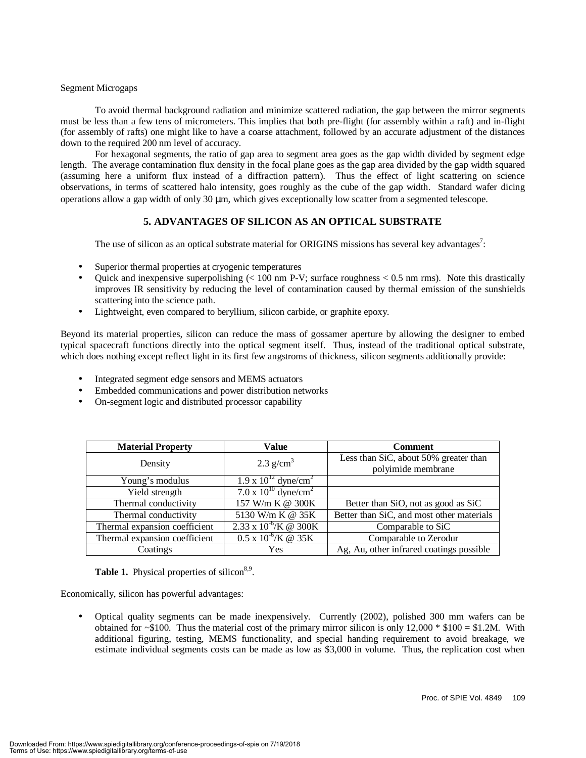#### Segment Microgaps

To avoid thermal background radiation and minimize scattered radiation, the gap between the mirror segments must be less than a few tens of micrometers. This implies that both pre-flight (for assembly within a raft) and in-flight (for assembly of rafts) one might like to have a coarse attachment, followed by an accurate adjustment of the distances down to the required 200 nm level of accuracy.

For hexagonal segments, the ratio of gap area to segment area goes as the gap width divided by segment edge length. The average contamination flux density in the focal plane goes as the gap area divided by the gap width squared (assuming here a uniform flux instead of a diffraction pattern). Thus the effect of light scattering on science observations, in terms of scattered halo intensity, goes roughly as the cube of the gap width. Standard wafer dicing operations allow a gap width of only 30 µm, which gives exceptionally low scatter from a segmented telescope.

#### **5. ADVANTAGES OF SILICON AS AN OPTICAL SUBSTRATE**

The use of silicon as an optical substrate material for ORIGINS missions has several key advantages<sup>7</sup>:

- Superior thermal properties at cryogenic temperatures
- Quick and inexpensive superpolishing  $(< 100 \text{ nm}$  P-V; surface roughness  $< 0.5 \text{ nm}$  rms). Note this drastically improves IR sensitivity by reducing the level of contamination caused by thermal emission of the sunshields scattering into the science path.
- Lightweight, even compared to beryllium, silicon carbide, or graphite epoxy.

Beyond its material properties, silicon can reduce the mass of gossamer aperture by allowing the designer to embed typical spacecraft functions directly into the optical segment itself. Thus, instead of the traditional optical substrate, which does nothing except reflect light in its first few angstroms of thickness, silicon segments additionally provide:

- Integrated segment edge sensors and MEMS actuators
- Embedded communications and power distribution networks
- On-segment logic and distributed processor capability

| <b>Material Property</b>      | <b>Value</b>                              | <b>Comment</b>                            |
|-------------------------------|-------------------------------------------|-------------------------------------------|
| Density                       | 2.3 $g/cm3$                               | Less than SiC, about 50% greater than     |
|                               |                                           | polyimide membrane                        |
| Young's modulus               | $1.9 \times 10^{12}$ dyne/cm <sup>2</sup> |                                           |
| Yield strength                | 7.0 x $10^{10}$ dyne/cm <sup>2</sup>      |                                           |
| Thermal conductivity          | 157 W/m K @ 300K                          | Better than SiO, not as good as SiC       |
| Thermal conductivity          | 5130 W/m K @ 35K                          | Better than SiC, and most other materials |
| Thermal expansion coefficient | $2.33 \times 10^{6}$ /K @ 300K            | Comparable to SiC                         |
| Thermal expansion coefficient | $0.5 \times 10^{-6}$ /K @ 35K             | Comparable to Zerodur                     |
| Coatings                      | Yes                                       | Ag, Au, other infrared coatings possible  |

**Table 1.** Physical properties of silicon<sup>8,9</sup>.

Economically, silicon has powerful advantages:

• Optical quality segments can be made inexpensively. Currently (2002), polished 300 mm wafers can be obtained for  $\sim$ \$100. Thus the material cost of the primary mirror silicon is only 12,000  $*$  \$100 = \$1.2M. With additional figuring, testing, MEMS functionality, and special handing requirement to avoid breakage, we estimate individual segments costs can be made as low as \$3,000 in volume. Thus, the replication cost when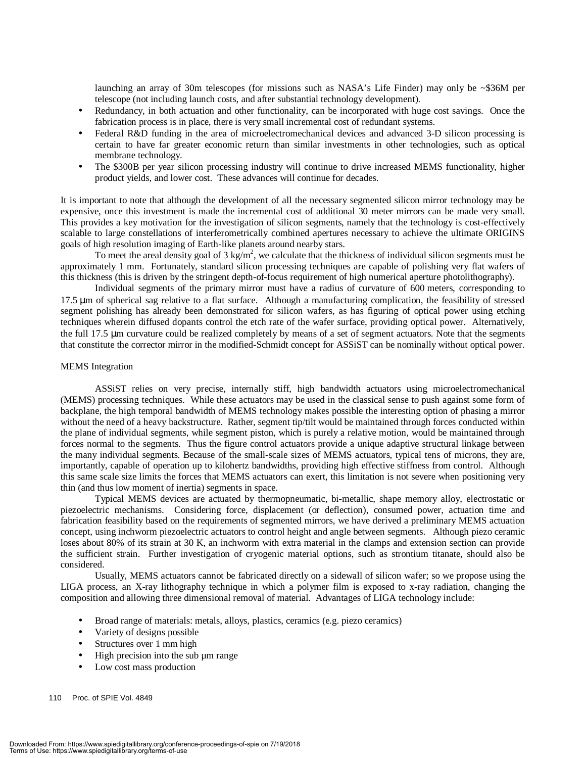launching an array of 30m telescopes (for missions such as NASA's Life Finder) may only be ~\$36M per telescope (not including launch costs, and after substantial technology development).

- Redundancy, in both actuation and other functionality, can be incorporated with huge cost savings. Once the fabrication process is in place, there is very small incremental cost of redundant systems.
- Federal R&D funding in the area of microelectromechanical devices and advanced 3-D silicon processing is certain to have far greater economic return than similar investments in other technologies, such as optical membrane technology.
- The \$300B per year silicon processing industry will continue to drive increased MEMS functionality, higher product yields, and lower cost. These advances will continue for decades.

It is important to note that although the development of all the necessary segmented silicon mirror technology may be expensive, once this investment is made the incremental cost of additional 30 meter mirrors can be made very small. This provides a key motivation for the investigation of silicon segments, namely that the technology is cost-effectively scalable to large constellations of interferometrically combined apertures necessary to achieve the ultimate ORIGINS goals of high resolution imaging of Earth-like planets around nearby stars.

To meet the areal density goal of  $3 \text{ kg/m}^2$ , we calculate that the thickness of individual silicon segments must be approximately 1 mm. Fortunately, standard silicon processing techniques are capable of polishing very flat wafers of this thickness (this is driven by the stringent depth-of-focus requirement of high numerical aperture photolithography).

Individual segments of the primary mirror must have a radius of curvature of 600 meters, corresponding to 17.5 µm of spherical sag relative to a flat surface. Although a manufacturing complication, the feasibility of stressed segment polishing has already been demonstrated for silicon wafers, as has figuring of optical power using etching techniques wherein diffused dopants control the etch rate of the wafer surface, providing optical power. Alternatively, the full 17.5 µm curvature could be realized completely by means of a set of segment actuators. Note that the segments that constitute the corrector mirror in the modified-Schmidt concept for ASSiST can be nominally without optical power.

#### MEMS Integration

 ASSiST relies on very precise, internally stiff, high bandwidth actuators using microelectromechanical (MEMS) processing techniques. While these actuators may be used in the classical sense to push against some form of backplane, the high temporal bandwidth of MEMS technology makes possible the interesting option of phasing a mirror without the need of a heavy backstructure. Rather, segment tip/tilt would be maintained through forces conducted within the plane of individual segments, while segment piston, which is purely a relative motion, would be maintained through forces normal to the segments. Thus the figure control actuators provide a unique adaptive structural linkage between the many individual segments. Because of the small-scale sizes of MEMS actuators, typical tens of microns, they are, importantly, capable of operation up to kilohertz bandwidths, providing high effective stiffness from control. Although this same scale size limits the forces that MEMS actuators can exert, this limitation is not severe when positioning very thin (and thus low moment of inertia) segments in space.

Typical MEMS devices are actuated by thermopneumatic, bi-metallic, shape memory alloy, electrostatic or piezoelectric mechanisms. Considering force, displacement (or deflection), consumed power, actuation time and fabrication feasibility based on the requirements of segmented mirrors, we have derived a preliminary MEMS actuation concept, using inchworm piezoelectric actuators to control height and angle between segments. Although piezo ceramic loses about 80% of its strain at 30 K, an inchworm with extra material in the clamps and extension section can provide the sufficient strain. Further investigation of cryogenic material options, such as strontium titanate, should also be considered.

Usually, MEMS actuators cannot be fabricated directly on a sidewall of silicon wafer; so we propose using the LIGA process, an X-ray lithography technique in which a polymer film is exposed to x-ray radiation, changing the composition and allowing three dimensional removal of material. Advantages of LIGA technology include:

- Broad range of materials: metals, alloys, plastics, ceramics (e.g. piezo ceramics)
- Variety of designs possible
- Structures over 1 mm high
- High precision into the sub  $\mu$ m range
- Low cost mass production
- 110 Proc. of SPIE Vol. 4849